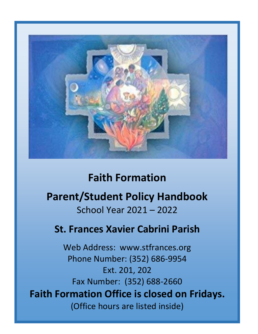

# **Faith Formation**

# **Parent/Student Policy Handbook** School Year 2021 – 2022

# **St. Frances Xavier Cabrini Parish**

Web Address: www.stfrances.org Phone Number: (352) 686-9954 Ext. 201, 202 Fax Number: (352) 688-2660 **Faith Formation Office is closed on Fridays.** (Office hours are listed inside)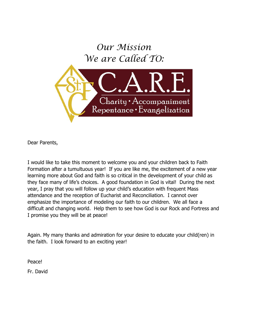

Dear Parents,

I would like to take this moment to welcome you and your children back to Faith Formation after a tumultuous year! If you are like me, the excitement of a new year learning more about God and faith is so critical in the development of your child as they face many of life's choices. A good foundation in God is vital! During the next year, I pray that you will follow up your child's education with frequent Mass attendance and the reception of Eucharist and Reconciliation. I cannot over emphasize the importance of modeling our faith to our children. We all face a difficult and changing world. Help them to see how God is our Rock and Fortress and I promise you they will be at peace!

Again. My many thanks and admiration for your desire to educate your child(ren) in the faith. I look forward to an exciting year!

Peace!

Fr. David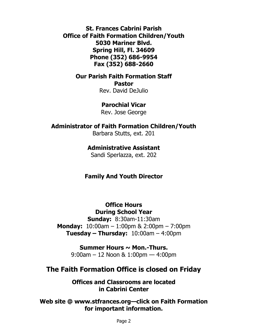**St. Frances Cabrini Parish Office of Faith Formation Children/Youth 5030 Mariner Blvd. Spring Hill, Fl. 34609 Phone (352) 686-9954 Fax (352) 688-2660**

**Our Parish Faith Formation Staff**

**Pastor** Rev. David DeJulio

**Parochial Vicar**

Rev. Jose George

### **Administrator of Faith Formation Children/Youth**

Barbara Stutts, ext. 201

### **Administrative Assistant**

Sandi Sperlazza, ext. 202

### **Family And Youth Director**

**Office Hours During School Year**

**Sunday:** 8:30am-11:30am **Monday:** 10:00am – 1:00pm & 2:00pm – 7:00pm **Tuesday – Thursday:** 10:00am – 4:00pm

> **Summer Hours ~ Mon.-Thurs.** 9:00am – 12 Noon & 1:00pm — 4:00pm

### **The Faith Formation Office is closed on Friday**

**Offices and Classrooms are located in Cabrini Center**

**Web site @ www.stfrances.org—click on Faith Formation for important information.**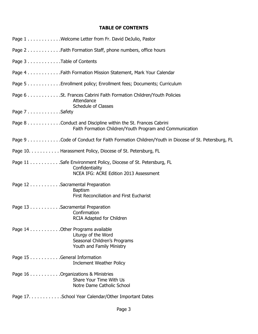### **TABLE OF CONTENTS**

| Page 1 Welcome Letter from Fr. David DeJulio, Pastor                                                                        |
|-----------------------------------------------------------------------------------------------------------------------------|
| Page 2 Faith Formation Staff, phone numbers, office hours                                                                   |
| Page 3 Table of Contents                                                                                                    |
| Page 4 Faith Formation Mission Statement, Mark Your Calendar                                                                |
| Page 5 Enrollment policy; Enrollment fees; Documents; Curriculum                                                            |
| Page 6 St. Frances Cabrini Faith Formation Children/Youth Policies<br>Attendance<br><b>Schedule of Classes</b>              |
| Page 7Safety                                                                                                                |
| Page 8 Conduct and Discipline within the St. Frances Cabrini<br>Faith Formation Children/Youth Program and Communication    |
| Page 9 Code of Conduct for Faith Formation Children/Youth in Diocese of St. Petersburg, FL                                  |
| Page 10. Harassment Policy, Diocese of St. Petersburg, FL                                                                   |
| Page 11 Safe Environment Policy, Diocese of St. Petersburg, FL<br>Confidentiality<br>NCEA IFG: ACRE Edition 2013 Assessment |
| Page 12 Sacramental Preparation<br><b>Baptism</b><br>First Reconciliation and First Eucharist                               |
| Page 13 Sacramental Preparation<br>Confirmation<br>RCIA Adapted for Children                                                |
| Page 14 Other Programs available<br>Liturgy of the Word<br>Seasonal Children's Programs<br>Youth and Family Ministry        |
| Page 15 General Information<br><b>Inclement Weather Policy</b>                                                              |
| Page 16 Organizations & Ministries<br>Share Your Time With Us<br>Notre Dame Catholic School                                 |
| Page 17. School Year Calendar/Other Important Dates                                                                         |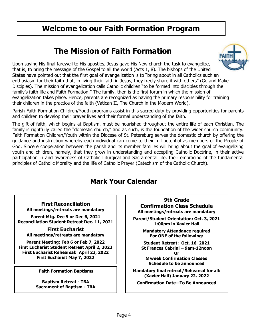## **Welcome to our Faith Formation Program**

## **The Mission of Faith Formation**



Upon saying His final farewell to His apostles, Jesus gave His New church the task to evangelize, that is, to bring the message of the Gospel to all the world (Acts 1, 8). The bishops of the United States have pointed out that the first goal of evangelization is to "bring about in all Catholics such an enthusiasm for their faith that, in living their faith in Jesus, they freely share it with others" (Go and Make Disciples). The mission of evangelization calls Catholic children "to be formed into disciples through the family's faith life and Faith Formation." The family, then is the first forum in which the mission of evangelization takes place. Hence, parents are recognized as having the primary responsibility for training their children in the practice of the faith (Vatican II, The Church in the Modern World).

Parish Faith Formation Children/Youth programs assist in this sacred duty by providing opportunities for parents and children to develop their prayer lives and their formal understanding of the faith.

The gift of faith, which begins at Baptism, must be nourished throughout the entire life of each Christian. The family is rightfully called the "domestic church," and as such, is the foundation of the wider church community. Faith Formation Children/Youth within the Diocese of St. Petersburg serves the domestic church by offering the guidance and instruction whereby each individual can come to their full potential as members of the People of God. Sincere cooperation between the parish and its member families will bring about the goal of evangelizing youth and children, namely, that they grow in understanding and accepting Catholic Doctrine, in their active participation in and awareness of Catholic Liturgical and Sacramental life, their embracing of the fundamental principles of Catholic Morality and the life of Catholic Prayer (Catechism of the Catholic Church).

### **Mark Your Calendar**

**First Reconciliation All meetings/retreats are mandatory**

**Parent Mtg. Dec 5 or Dec 6, 2021 Reconciliation Student Retreat Dec. 11, 2021**

**First Eucharist All meetings/retreats are mandatory**

**Parent Meeting: Feb 6 or Feb 7, 2022 First Eucharist Student Retreat April 2, 2022 First Eucharist Rehearsal: April 23, 2022 First Eucharist May 7, 2022**

**Faith Formation Baptisms**

**Baptism Retreat - TBA Sacrament of Baptism - TBA**

**9th Grade Confirmation Class Schedule All meetings/retreats are mandatory**

**Parent/Student Orientation: Oct. 3, 2021 1:00pm in Xavier Hall**

> **Mandatory Attendance required For ONE of the following:**

**Student Retreat: Oct. 16, 2021 St Frances Cabrini – 9am-12noon Or 8 week Confirmation Classes**

**Schedule to be announced**

**Mandatory final retreat/Rehearsal for all: (Xavier Hall) January 22, 2022** 

**Confirmation Date—To Be Announced**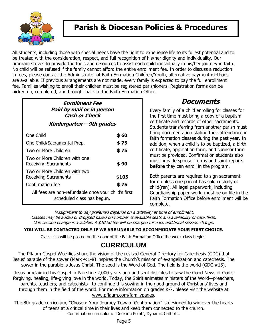

## **Parish & Diocesan Policies & Procedures**

All students, including those with special needs have the right to experience life to its fullest potential and to be treated with the consideration, respect, and full recognition of his/her dignity and individuality. Our program strives to provide the tools and resources to assist each child individually in his/her journey in faith. No child will be refused if the family cannot afford the entire enrollment fee. In order to discuss a reduction in fees, please contact the Administrator of Faith Formation Children/Youth, alternative payment methods are available. If previous arrangements are not made, every family is expected to pay the full enrollment fee. Families wishing to enroll their children must be registered parishioners. Registration forms can be picked up, completed, and brought back to the Faith Formation Office.

### **Enrollment Fee Paid by mail or in person Cash or Check Kindergarten – 9th grades** One Child **\$ 60**  One Child/Sacramental Prep. **\$ 75** Two or More Children **\$ 75**  Two or More Children with one Receiving Sacraments **\$ 90**  Two or More Children with two Receiving Sacraments **\$105**  Confirmation fee **\$ 75**

All fees are non-refundable once your child's first scheduled class has begun.

### **Documents**

Every family of a child enrolling for classes for the first time must bring a copy of a baptism certificate and records of other sacraments. Students transferring from another parish must bring documentation stating their attendance in faith formation classes during the past year. In addition, when a child is to be baptized, a birth certificate, application form, and sponsor form must be provided. Confirmation students also must provide sponsor forms and saint reports **before** they can enroll in the program.

Both parents are required to sign sacrament form unless one parent has sole custody of child(ren). All legal paperwork, including Guardianship paper-work, must be on file in the Faith Formation Office before enrollment will be complete.

\*Assignment to day preferred depends on availability at time of enrollment. Classes may be added or dropped based on number of available seats and availability of catechists. One session change is available. A \$10.00 fee will be charged for each additional session change.

### **YOU WILL BE CONTACTED ONLY IF WE ARE UNABLE TO ACCOMMODATE YOUR FIRST CHOICE.**

Class lists will be posted on the door of the Faith Formation Office the week class begins.

### **CURRICULUM**

The Pflaum Gospel Weeklies share the vision of the revised General Directory for Catechesis (GDC) that Jesus' parable of the sower (Mark 4:1-8) inspires the Church's mission of evangelization and catechesis. The sower in the parable is Jesus Christ. The seed is the Word of God. The field is the world (GDC #15).

Jesus proclaimed his Gospel in Palestine 2,000 years ago and sent disciples to sow the Good News of God's forgiving, healing, life-giving love in the world. Today, the Spirit animates ministers of the Word—preachers, parents, teachers, and catechists—to continue this sowing in the good ground of Christians' lives and through them in the field of the world. For more information on grades K-7, please visit the website at [www.pflaum.com/familypages.](http://www.pflaum.com/familypages)

The 8th grade curriculum, "Chosen: Your Journey Toward Confirmation" is designed to win over the hearts of teens at a critical time in their lives and keep them connected to the church. Confirmation curriculum: "Decision Point", Dynamic Catholic.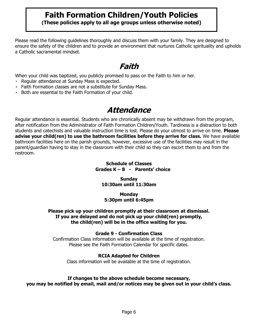# **Faith Formation Children/Youth Policies**

**(These policies apply to all age groups unless otherwise noted)**

Please read the following guidelines thoroughly and discuss them with your family. They are designed to ensure the safety of the children and to provide an environment that nurtures Catholic spirituality and upholds a Catholic sacramental mindset.

## **Faith**

When your child was baptized, you publicly promised to pass on the Faith to him or her.

- Regular attendance at Sunday Mass is expected.
- Faith Formation classes are not a substitute for Sunday Mass.
- Both are essential to the Faith Formation of your child.

## **Attendance**

Regular attendance is essential. Students who are chronically absent may be withdrawn from the program, after notification from the Administrator of Faith Formation Children/Youth. Tardiness is a distraction to both students and catechists and valuable instruction time is lost. Please do your utmost to arrive on time. **Please advise your child(ren) to use the bathroom facilities before they arrive for class.** We have available bathroom facilities here on the parish grounds, however, excessive use of the facilities may result in the parent/guardian having to stay in the classroom with their child so they can escort them to and from the restroom.

### **Schedule of Classes Grades K – 8 - Parents' choice**

#### **Sunday 10:30am until 11:30am**

#### **Monday 5:30pm until 6:45pm**

#### **Please pick up your children promptly at their classroom at dismissal. If you are delayed and do not pick up your child(ren) promptly, the child(ren) will be in the office waiting for you.**

### **Grade 9 - Confirmation Class**

Confirmation Class information will be available at the time of registration. Please see the Faith Formation Calendar for specific dates.

### **RCIA Adapted for Children**

Class information will be available at the time of registration.

### **If changes to the above schedule become necessary,**

**you may be notified by email, mail and/or notices may be given out in your child's class.**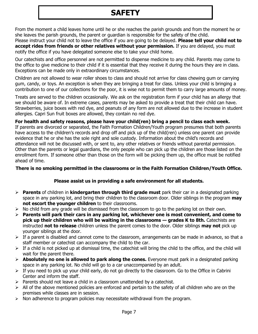# **SAFETY**

From the moment a child leaves home until he or she reaches the parish grounds and from the moment he or she leaves the parish grounds, the parent or guardian is responsible for the safety of the child.

Please instruct your child not to leave the office if you are going to be delayed. **Please tell your child not to accept rides from friends or other relatives without your permission.** If you are delayed, you must notify the office if you have delegated someone else to take your child home.

Our catechists and office personnel are not permitted to dispense medicine to any child. Parents may come to the office to give medicine to their child if it is essential that they receive it during the hours they are in class. Exceptions can be made only in extraordinary circumstances.

Children are not allowed to wear roller shoes to class and should not arrive for class chewing gum or carrying gum, candy, or toys. An exception is when they are bringing a treat for class. Unless your child is bringing a contribution to one of our collections for the poor, it is wise not to permit them to carry large amounts of money.

Treats are served to the children occasionally. We ask on the registration form if your child has an allergy that we should be aware of. In extreme cases, parents may be asked to provide a treat that their child can have. Strawberries, juice boxes with red dye, and peanuts of any form are not allowed due to the increase in student allergies. Capri Sun fruit boxes are allowed, they contain no red dye.

#### **For health and safety reasons, please have your child(ren) bring a pencil to class each week.**

If parents are divorced or separated, the Faith Formation Children/Youth program presumes that both parents have access to the children's records and drop off and pick up of the child(ren) unless one parent can provide evidence that he or she has the sole right and sole custody. Information about the child's records and attendance will not be discussed with, or sent to, any other relatives or friends without parental permission. Other than the parents or legal guardians, the only people who can pick up the children are those listed on the enrollment form. If someone other than those on the form will be picking them up, the office must be notified ahead of time.

#### **There is no smoking permitted in the classrooms or in the Faith Formation Children/Youth Office.**

### **Please assist us in providing a safe environment for all students.**

- ➢ **Parents** of children in **kindergarten through third grade must** park their car in a designated parking space in any parking lot, and bring their children to the classroom door. Older siblings in the program **may not escort the younger children** to their classrooms.
- $\triangleright$  No child from any grade will be dismissed from the classroom to go to the parking lot on their own.
- ➢ **Parents will park their cars in any parking lot, whichever one is most convenient, and come to pick up their children who will be waiting in the classrooms – grades K to 8th. Catechists are** instructed **not to release** children unless the parent comes to the door. Older siblings **may not** pick up younger siblings at the door.
- ➢ If a parent is disabled and cannot come to the classroom, arrangements can be made in advance, so that a staff member or catechist can accompany the child to the car.
- $\triangleright$  If a child is not picked up at dismissal time, the catechist will bring the child to the office, and the child will wait for the parent there.
- ➢ **Absolutely no one is allowed to park along the cones.** Everyone must park in a designated parking space in any parking lot. No child will go to a car unaccompanied by an adult.
- $\triangleright$  If you need to pick up your child early, do not go directly to the classroom. Go to the Office in Cabrini Center and inform the staff.
- $\triangleright$  Parents should not leave a child in a classroom unattended by a catechist.
- $\triangleright$  All of the above mentioned policies are enforced and pertain to the safety of all children who are on the premises while classes are in session.
- $\triangleright$  Non adherence to program policies may necessitate withdrawal from the program.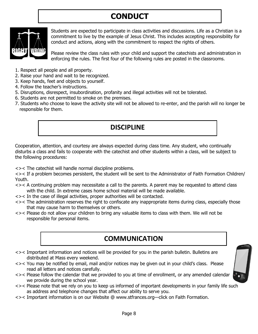# **CONDUCT**



Students are expected to participate in class activities and discussions. Life as a Christian is a commitment to live by the example of Jesus Christ. This includes accepting responsibility for conduct and actions, along with the commitment to respect the rights of others.

Please review the class rules with your child and support the catechists and administration in enforcing the rules. The first four of the following rules are posted in the classrooms.

- 1. Respect all people and all property.
- 2. Raise your hand and wait to be recognized.
- 3. Keep hands, feet and objects to yourself.
- 4. Follow the teacher's instructions.
- 5. Disruptions, disrespect, insubordination, profanity and illegal activities will not be tolerated.
- 6. Students are not permitted to smoke on the premises.
- 7. Students who choose to leave the activity site will not be allowed to re-enter, and the parish will no longer be responsible for them.

### **DISCIPLINE**

Cooperation, attention, and courtesy are always expected during class time. Any student, who continually disturbs a class and fails to cooperate with the catechist and other students within a class, will be subject to the following procedures:

<>< The catechist will handle normal discipline problems.

<>< If a problem becomes persistent, the student will be sent to the Administrator of Faith Formation Children/ Youth.

- <>< A continuing problem may necessitate a call to the parents. A parent may be requested to attend class with the child. In extreme cases home school material will be made available.
- <>< In the case of illegal activities, proper authorities will be contacted.
- <>< The administration reserves the right to confiscate any inappropriate items during class, especially those that may cause harm to themselves or others.
- <>< Please do not allow your children to bring any valuable items to class with them. We will not be responsible for personal items.

### **COMMUNICATION**

- <>< Important information and notices will be provided for you in the parish bulletin. Bulletins are distributed at Mass every weekend.
- <>< You may be notified by email, mail and/or notices may be given out in your child's class. Please read all letters and notices carefully.
- <>< Please follow the calendar that we provided to you at time of enrollment, or any amended calendar we provide during the school year.
- <>< Please note that we rely on you to keep us informed of important developments in your family life such as address and telephone changes that affect our ability to serve you.
- <>< Important information is on our Website @ www.stfrances.org—click on Faith Formation.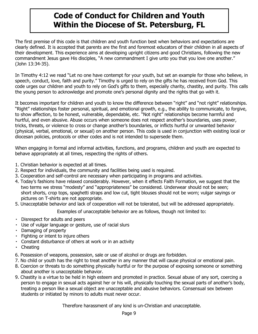## **Code of Conduct for Children and Youth Within the Diocese of St. Petersburg, FL**

The first premise of this code is that children and youth function best when behaviors and expectations are clearly defined. It is accepted that parents are the first and foremost educators of their children in all aspects of their development. This experience aims at developing upright citizens and good Christians, following the new commandment Jesus gave His disciples, "A new commandment I give unto you that you love one another." (John 13:34-35).

In Timothy 4:12 we read "Let no one have contempt for your youth, but set an example for those who believe, in speech, conduct, love, faith and purity." Timothy is urged to rely on the gifts he has received from God. This code urges our children and youth to rely on God's gifts to them, especially charity, chastity, and purity. This calls the young person to acknowledge and promote one's personal dignity and the rights that go with it.

It becomes important for children and youth to know the difference between "right" and "not right" relationships. "Right" relationships foster personal, spiritual, and emotional growth, e.g., the ability to communicate, to forgive, to show affection, to be honest, vulnerable, dependable, etc. "Not right" relationships become harmful and hurtful, and even abusive. Abuse occurs when someone does not respect another's boundaries, uses power, tricks, threats, or violence to cross or change another's boundaries, or inflicts hurtful or unwanted behavior (physical, verbal, emotional, or sexual) on another person. This code is used in conjunction with existing local or diocesan policies, protocols or other codes and is not intended to supersede them.

When engaging in formal and informal activities, functions, and programs, children and youth are expected to behave appropriately at all times, respecting the rights of others.

- 1. Christian behavior is expected at all times.
- 2. Respect for individuals, the community and facilities being used is required.
- 3. Cooperation and self-control are necessary when participating in programs and activities.
- 4. Today's fashions have relaxed considerably. However, when it effects Faith Formation, we suggest that the two terms we stress "modesty" and "appropriateness" be considered. Underwear should not be seen; short shorts, crop tops, spaghetti straps and low cut, tight blouses should not be worn; vulgar sayings or pictures on T-shirts are not appropriate.
- 5. Unacceptable behavior and lack of cooperation will not be tolerated, but will be addressed appropriately.

Examples of unacceptable behavior are as follows, though not limited to:

- Disrespect for adults and peers
- Use of vulgar language or gesture, use of racial slurs
- Damaging of property
- Fighting or intent to injure others
- Constant disturbance of others at work or in an activity
- Cheating
- 6. Possession of weapons, possession, sale or use of alcohol or drugs are forbidden.
- 7. No child or youth has the right to treat another in any manner that will cause physical or emotional pain.
- 8. Coercion or threats to do something physically hurtful or for the purpose of exposing someone or something about another is unacceptable behavior.
- 9. Chastity is a virtue to be held in high esteem and promoted in practice. Sexual abuse of any sort, coercing a person to engage in sexual acts against her or his will, physically touching the sexual parts of another's body, treating a person like a sexual object are unacceptable and abusive behaviors. Consensual sex between students or initiated by minors to adults must never occur.

Therefore harassment of any kind is un-Christian and unacceptable.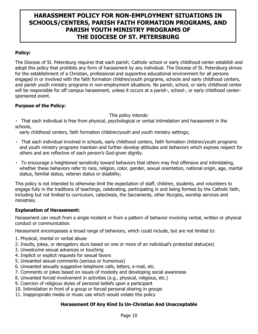### **HARASSMENT POLICY FOR NON-EMPLOYMENT SITUATIONS IN SCHOOLS/CENTERS, PARISH FAITH FORMATION PROGRAMS, AND PARISH YOUTH MINISTRY PROGRAMS OF THE DIOCESE OF ST. PETERSBURG**

### **Policy:**

The Diocese of St. Petersburg requires that each parish; Catholic school or early childhood center establish and adopt this policy that prohibits any form of harassment by any individual. The Diocese of St. Petersburg strives for the establishment of a Christian, professional and supportive educational environment for all persons engaged in or involved with the faith formation children/youth programs, schools and early childhood centers, and parish youth ministry programs in non-employment situations. No parish, school, or early childhood center will be responsible for off campus harassment, unless it occurs at a parish-, school-, or early childhood centersponsored event.

#### **Purpose of the Policy:**

This policy intends:

That each individual is free from physical, psychological or verbal intimidation and harassment in the schools,

early childhood centers, faith formation children/youth and youth ministry settings;

- That each individual involved in schools, early childhood centers, faith formation children/youth programs and youth ministry programs maintain and further develop attitudes and behaviors which express respect for others and are reflective of each person's God-given dignity.
- To encourage a heightened sensitivity toward behaviors that others may find offensive and intimidating, whether these behaviors refer to race, religion, color, gender, sexual orientation, national origin, age, marital status, familial status, veteran status or disability;

This policy is not intended to otherwise limit the expectation of staff, children, students, and volunteers to engage fully in the traditions of teachings, celebrating, participating in and being formed by the Catholic faith, including but not limited to curriculum, catechesis, the Sacraments, other liturgies, worship services and ministries.

#### **Explanation of Harassment:**

Harassment can result from a single incident or from a pattern of behavior involving verbal, written or physical conduct or communication.

Harassment encompasses a broad range of behaviors, which could include, but are not limited to:

- 1. Physical, mental or verbal abuse
- 2. Insults, jokes, or derogatory slurs based on one or more of an individual's protected status(es)
- 3. Unwelcome sexual advances or touching
- 4. Implicit or explicit requests for sexual favors
- 5. Unwanted sexual comments (serious or humorous)
- 6. Unwanted sexually suggestive telephone calls, letters, e-mail, etc.
- 7. Comments or jokes based on issues of modesty and developing social awareness
- 8. Unwanted forced involvement in activities (e.g., physical, religious, etc.)
- 9. Coercion of religious styles of personal beliefs upon a participant
- 10. Intimidation in front of a group or forced personal sharing in groups
- 11. Inappropriate media or music use which would violate this policy

#### **Harassment Of Any Kind Is Un-Christian And Unacceptable**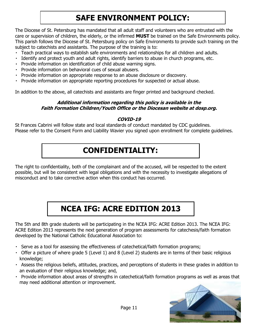# **SAFE ENVIRONMENT POLICY:**

The Diocese of St. Petersburg has mandated that all adult staff and volunteers who are entrusted with the care or supervision of children, the elderly, or the infirmed **MUST** be trained on the Safe Environments policy. This parish follows the Diocese of St. Petersburg policy on Safe Environments to provide such training on the subject to catechists and assistants. The purpose of the training is to:

- Teach practical ways to establish safe environments and relationships for all children and adults.
- Identify and protect youth and adult rights, identify barriers to abuse in church programs, etc.
- Provide information on identification of child abuse warning signs.
- Provide information on behavioral cues of sexual abusers.
- Provide information on appropriate response to an abuse disclosure or discovery.
- Provide information on appropriate reporting procedures for suspected or actual abuse.

In addition to the above, all catechists and assistants are finger printed and background checked.

#### **Additional information regarding this policy is available in the Faith Formation Children/Youth Office or the Diocesan website at dosp.org.**

#### **COVID-19**

St Frances Cabrini will follow state and local standards of conduct mandated by CDC guidelines. Please refer to the Consent Form and Liability Wavier you signed upon enrollment for complete guidelines.

## **CONFIDENTIALITY:**

The right to confidentiality, both of the complainant and of the accused, will be respected to the extent possible, but will be consistent with legal obligations and with the necessity to investigate allegations of misconduct and to take corrective action when this conduct has occurred.

# **NCEA IFG: ACRE EDITION 2013**

The 5th and 8th grade students will be participating in the NCEA IFG: ACRE Edition 2013. The NCEA IFG: ACRE Edition 2013 represents the next generation of program assessments for catechesis/faith formation developed by the National Catholic Educational Association to:

- Serve as a tool for assessing the effectiveness of catechetical/faith formation programs;
- Offer a picture of where grade 5 (Level 1) and 8 (Level 2) students are in terms of their basic religious knowledge;
- Assess the religious beliefs, attitudes, practices, and perceptions of students in these grades in addition to an evaluation of their religious knowledge; and,
- Provide information about areas of strengths in catechetical/faith formation programs as well as areas that may need additional attention or improvement.

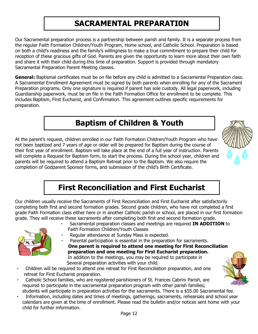## **SACRAMENTAL PREPARATI0N**

Our Sacramental preparation process is a partnership between parish and family. It is a separate process from the regular Faith Formation Children/Youth Program, Home school, and Catholic School. Preparation is based on both a child's readiness and the family's willingness to make a true commitment to prepare their child for reception of these gracious gifts of God. Parents are given the opportunity to learn more about their own faith and share it with their child during this time of preparation. Support is provided through mandatory Sacramental Preparation Parent Meeting classes.

**General:** Baptismal certificates must be on file before any child is admitted to a Sacramental Preparation class. A Sacramental Enrollment Agreement must be signed by both parents when enrolling for any of the Sacrament Preparation programs. Only one signature is required if parent has sole custody. All legal paperwork, including Guardianship paperwork, must be on file in the Faith Formation Office for enrollment to be complete. This includes Baptism, First Eucharist, and Confirmation. This agreement outlines specific requirements for preparation.

# **Baptism of Children & Youth**

At the parent's request, children enrolled in our Faith Formation Children/Youth Program who have not been baptized and 7 years of age or older will be prepared for Baptism during the course of their first year of enrollment. Baptism will take place at the end of a full year of instruction. Parents will complete a Request for Baptism form, to start the process. During the school year, children and parents will be required to attend a Baptism Retreat prior to the Baptism. We also require the completion of Godparent Sponsor forms, and submission of the child's Birth Certificate.



# **First Reconciliation and First Eucharist**

Our children usually receive the Sacraments of First Reconciliation and First Eucharist after satisfactorily completing both first and second formation grades. Second grade children, who have not completed a first grade Faith Formation class either here or in another Catholic parish or school, are placed in our first formation grade. They will receive these sacraments after completing both first and second formation grade.



- Sacramental preparation classes and meetings are required **IN ADDITION** to Faith Formation Children/Youth Classes
- Regular attendance at Sunday Mass is expected.
- Parental participation is essential in the preparation for sacraments. **One parent is required to attend one meeting for First Reconciliation preparation and one meeting for First Eucharist preparation.** In addition to the meetings, you may be required to participate in Several preparation activities with your child.
- Children will be required to attend one retreat for First Reconciliation preparation, and one retreat for First Eucharist preparation.
- Catholic School families, who are registered parishioners of St. Frances Cabrini Parish, are required to participate in the sacramental preparation program with other parish families; students will participate in preparation activities for the sacraments. There is a \$55.00 Sacramental fee.
- Information, including dates and times of meetings, gatherings, sacraments, rehearsals and school year calendars are given at the time of enrollment. Please read the bulletin and/or notices sent home with your child for further information.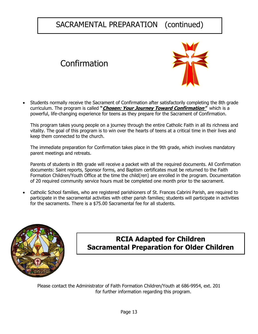## SACRAMENTAL PREPARATION (continued)

# Confirmation



• Students normally receive the Sacrament of Confirmation after satisfactorily completing the 8th grade curriculum. The program is called **"Chosen: Your Journey Toward Confirmation"** which is a powerful, life-changing experience for teens as they prepare for the Sacrament of Confirmation.

This program takes young people on a journey through the entire Catholic Faith in all its richness and vitality. The goal of this program is to win over the hearts of teens at a critical time in their lives and keep them connected to the church.

The immediate preparation for Confirmation takes place in the 9th grade, which involves mandatory parent meetings and retreats.

Parents of students in 8th grade will receive a packet with all the required documents. All Confirmation documents: Saint reports, Sponsor forms, and Baptism certificates must be returned to the Faith Formation Children/Youth Office at the time the child(ren) are enrolled in the program. Documentation of 20 required community service hours must be completed one month prior to the sacrament.

• Catholic School families, who are registered parishioners of St. Frances Cabrini Parish, are required to participate in the sacramental activities with other parish families; students will participate in activities for the sacraments. There is a \$75.00 Sacramental fee for all students.



### **RCIA Adapted for Children Sacramental Preparation for Older Children**

Please contact the Administrator of Faith Formation Children/Youth at 686-9954, ext. 201 for further information regarding this program.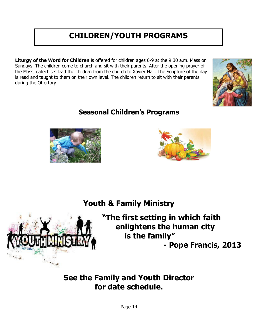# **CHILDREN/YOUTH PROGRAMS**

**Liturgy of the Word for Children** is offered for children ages 6-9 at the 9:30 a.m. Mass on Sundays. The children come to church and sit with their parents. After the opening prayer of the Mass, catechists lead the children from the church to Xavier Hall. The Scripture of the day is read and taught to them on their own level. The children return to sit with their parents during the Offertory.





 $"$ 

**Construct** 

### **Seasonal Children's Programs**



## **Youth & Family Ministry**

**"The first setting in which faith enlightens the human city is the family" - Pope Francis, 2013**

### **See the Family and Youth Director for date schedule.**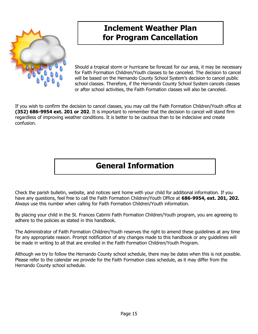

## **Inclement Weather Plan for Program Cancellation**

Should a tropical storm or hurricane be forecast for our area, it may be necessary for Faith Formation Children/Youth classes to be canceled. The decision to cancel will be based on the Hernando County School System's decision to cancel public school classes. Therefore, if the Hernando County School System cancels classes or after school activities, the Faith Formation classes will also be canceled.

If you wish to confirm the decision to cancel classes, you may call the Faith Formation Children/Youth office at **(352) 686-9954 ext. 201 or 202**. It is important to remember that the decision to cancel will stand firm regardless of improving weather conditions. It is better to be cautious than to be indecisive and create confusion.

## **General Information**

Check the parish bulletin, website, and notices sent home with your child for additional information. If you have any questions, feel free to call the Faith Formation Children/Youth Office at **686-9954, ext. 201, 202.**  Always use this number when calling for Faith Formation Children/Youth information.

By placing your child in the St. Frances Cabrini Faith Formation Children/Youth program, you are agreeing to adhere to the policies as stated in this handbook.

The Administrator of Faith Formation Children/Youth reserves the right to amend these guidelines at any time for any appropriate reason. Prompt notification of any changes made to this handbook or any guidelines will be made in writing to all that are enrolled in the Faith Formation Children/Youth Program.

Although we try to follow the Hernando County school schedule, there may be dates when this is not possible. Please refer to the calendar we provide for the Faith Formation class schedule, as it may differ from the Hernando County school schedule.